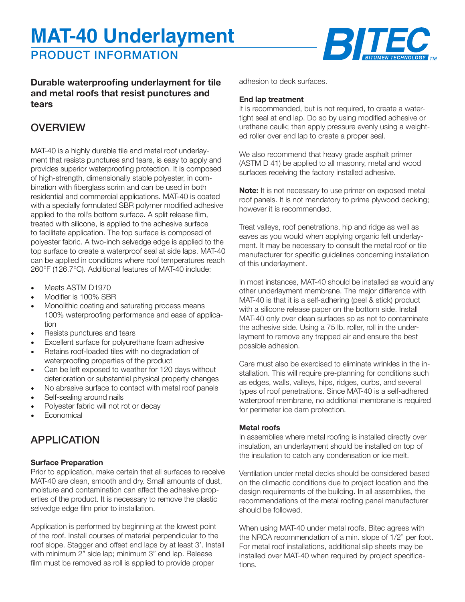# **MAT-40 Underlayment**

# PRODUCT INFORMATION



### **Durable waterproofing underlayment for tile and metal roofs that resist punctures and tears**

### **OVERVIEW**

MAT-40 is a highly durable tile and metal roof underlayment that resists punctures and tears, is easy to apply and provides superior waterproofing protection. It is composed of high-strength, dimensionally stable polyester, in combination with fiberglass scrim and can be used in both residential and commercial applications. MAT-40 is coated with a specially formulated SBR polymer modified adhesive applied to the roll's bottom surface. A split release film, treated with silicone, is applied to the adhesive surface to facilitate application. The top surface is composed of polyester fabric. A two-inch selvedge edge is applied to the top surface to create a waterproof seal at side laps. MAT-40 can be applied in conditions where roof temperatures reach 260°F (126.7°C). Additional features of MAT-40 include:

- Meets ASTM D1970
- Modifier is 100% SBR
- Monolithic coating and saturating process means 100% waterproofing performance and ease of application
- Resists punctures and tears
- Excellent surface for polyurethane foam adhesive
- Retains roof-loaded tiles with no degradation of waterproofing properties of the product
- Can be left exposed to weather for 120 days without deterioration or substantial physical property changes
- No abrasive surface to contact with metal roof panels
- Self-sealing around nails
- Polyester fabric will not rot or decay
- **Economical**

## APPLICATION

### **Surface Preparation**

Prior to application, make certain that all surfaces to receive MAT-40 are clean, smooth and dry. Small amounts of dust, moisture and contamination can affect the adhesive properties of the product. It is necessary to remove the plastic selvedge edge film prior to installation.

Application is performed by beginning at the lowest point of the roof. Install courses of material perpendicular to the roof slope. Stagger and offset end laps by at least 3'. Install with minimum 2" side lap; minimum 3" end lap. Release film must be removed as roll is applied to provide proper

adhesion to deck surfaces.

#### **End lap treatment**

It is recommended, but is not required, to create a watertight seal at end lap. Do so by using modified adhesive or urethane caulk; then apply pressure evenly using a weighted roller over end lap to create a proper seal.

We also recommend that heavy grade asphalt primer (ASTM D 41) be applied to all masonry, metal and wood surfaces receiving the factory installed adhesive.

**Note:** It is not necessary to use primer on exposed metal roof panels. It is not mandatory to prime plywood decking; however it is recommended.

Treat valleys, roof penetrations, hip and ridge as well as eaves as you would when applying organic felt underlayment. It may be necessary to consult the metal roof or tile manufacturer for specific guidelines concerning installation of this underlayment.

In most instances, MAT-40 should be installed as would any other underlayment membrane. The major difference with MAT-40 is that it is a self-adhering (peel & stick) product with a silicone release paper on the bottom side. Install MAT-40 only over clean surfaces so as not to contaminate the adhesive side. Using a 75 lb. roller, roll in the underlayment to remove any trapped air and ensure the best possible adhesion.

Care must also be exercised to eliminate wrinkles in the installation. This will require pre-planning for conditions such as edges, walls, valleys, hips, ridges, curbs, and several types of roof penetrations. Since MAT-40 is a self-adhered waterproof membrane, no additional membrane is required for perimeter ice dam protection.

### **Metal roofs**

In assemblies where metal roofing is installed directly over insulation, an underlayment should be installed on top of the insulation to catch any condensation or ice melt.

Ventilation under metal decks should be considered based on the climactic conditions due to project location and the design requirements of the building. In all assemblies, the recommendations of the metal roofing panel manufacturer should be followed.

When using MAT-40 under metal roofs, Bitec agrees with the NRCA recommendation of a min. slope of 1/2" per foot. For metal roof installations, additional slip sheets may be installed over MAT-40 when required by project specifications.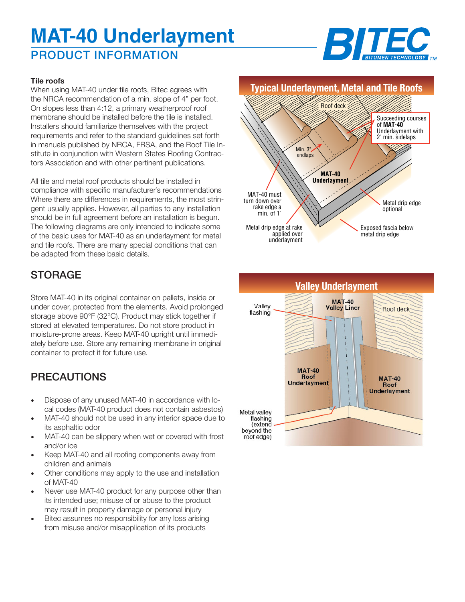# PRODUCT INFORMATION **MAT-40 Underlayment**



### **Tile roofs**

When using MAT-40 under tile roofs, Bitec agrees with the NRCA recommendation of a min. slope of 4" per foot. On slopes less than 4:12, a primary weatherproof roof membrane should be installed before the tile is installed. Installers should familiarize themselves with the project requirements and refer to the standard guidelines set forth in manuals published by NRCA, FRSA, and the Roof Tile Institute in conjunction with Western States Roofing Contractors Association and with other pertinent publications.

All tile and metal roof products should be installed in compliance with specific manufacturer's recommendations Where there are differences in requirements, the most stringent usually applies. However, all parties to any installation should be in full agreement before an installation is begun. The following diagrams are only intended to indicate some of the basic uses for MAT-40 as an underlayment for metal and tile roofs. There are many special conditions that can be adapted from these basic details.

## **STORAGE**

Store MAT-40 in its original container on pallets, inside or under cover, protected from the elements. Avoid prolonged storage above 90°F (32°C). Product may stick together if stored at elevated temperatures. Do not store product in moisture-prone areas. Keep MAT-40 upright until immediately before use. Store any remaining membrane in original container to protect it for future use.

## PRECAUTIONS

- Dispose of any unused MAT-40 in accordance with local codes (MAT-40 product does not contain asbestos)
- MAT-40 should not be used in any interior space due to its asphaltic odor
- MAT-40 can be slippery when wet or covered with frost and/or ice
- Keep MAT-40 and all roofing components away from children and animals
- Other conditions may apply to the use and installation of MAT-40
- Never use MAT-40 product for any purpose other than its intended use; misuse of or abuse to the product may result in property damage or personal injury
- Bitec assumes no responsibility for any loss arising from misuse and/or misapplication of its products